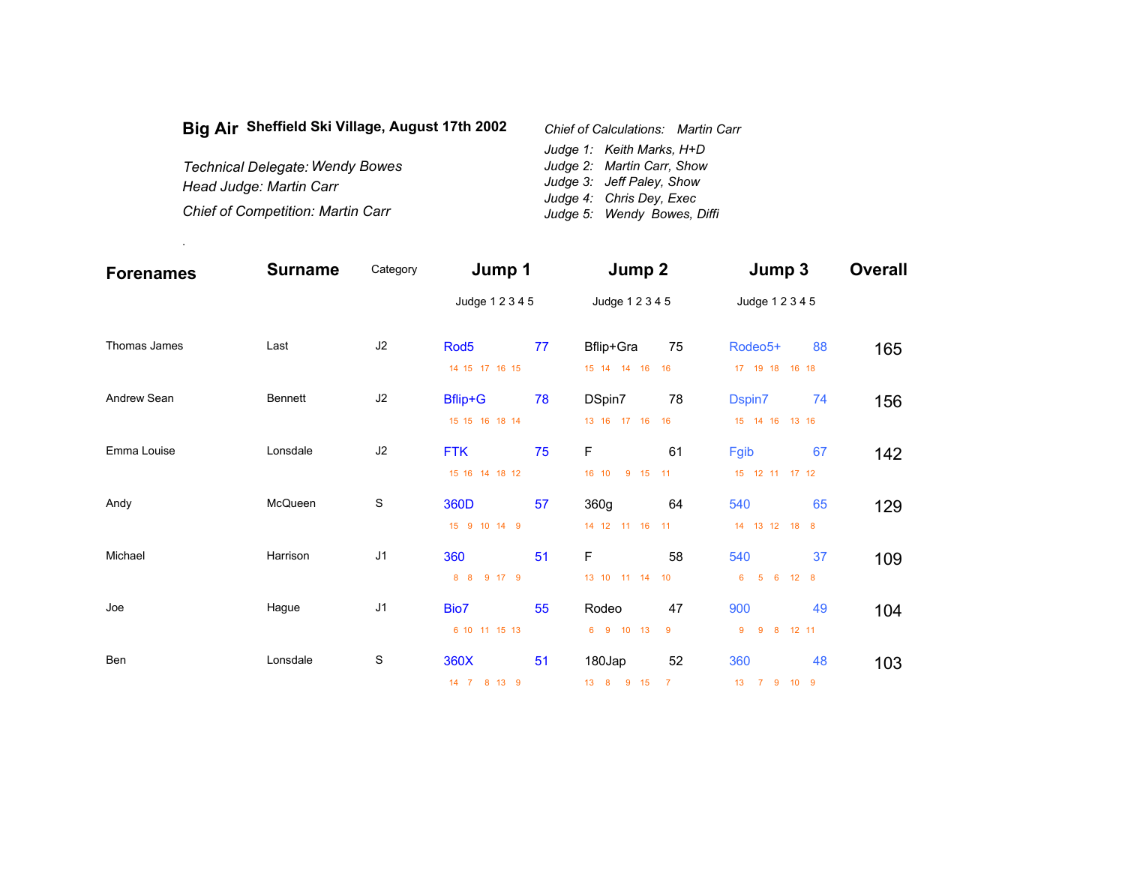| Big Air Sheffield Ski Village, August 17th 2002 | Chief of Calculations: Martin Carr |
|-------------------------------------------------|------------------------------------|
|                                                 | Judge 1: Keith Marks, H+D          |
| <b>Technical Delegate: Wendy Bowes</b>          | Judge 2: Martin Carr, Show         |
| Head Judge: Martin Carr                         | Judge 3: Jeff Paley, Show          |
|                                                 | Judge 4: Chris Dey, Exec           |
| <b>Chief of Competition: Martin Carr</b>        | Judge 5: Wendy Bowes, Diffi        |

.

| <b>Forenames</b> | <b>Surname</b> | Category       | Jump 1           |    | Jump 2           |                | Jump 3                      |              | <b>Overall</b> |
|------------------|----------------|----------------|------------------|----|------------------|----------------|-----------------------------|--------------|----------------|
|                  |                |                | Judge 1 2 3 4 5  |    | Judge 1 2 3 4 5  |                | Judge 1 2 3 4 5             |              |                |
| Thomas James     | Last           | J2             | Rod <sub>5</sub> | 77 | Bflip+Gra        | 75             | Rodeo <sub>5+</sub>         | 88           | 165            |
|                  |                |                | 14 15 17 16 15   |    | 15 14 14 16      | 16             | 17  19  18  16  18          |              |                |
| Andrew Sean      | <b>Bennett</b> | J2             | <b>Bflip+G</b>   | 78 | DSpin7           | 78             | Dspin7                      | 74           | 156            |
|                  |                |                | 15 15 16 18 14   |    | 13 16 17 16      | 16             | 15 14 16 13 16              |              |                |
| Emma Louise      | Lonsdale       | J2             | <b>FTK</b>       | 75 | $\mathsf F$      | 61             | Fgib                        | 67           | 142            |
|                  |                |                | 15 16 14 18 12   |    | 16 10<br>9 15 11 |                | 15 12 11 17 12              |              |                |
| Andy             | McQueen        | $\mathbb S$    | 360D             | 57 | 360g             | 64             | 540                         | 65           | 129            |
|                  |                |                | 15 9 10 14 9     |    | 14 12 11 16      | 11             | 14  13  12  18  8           |              |                |
| Michael          | Harrison       | J <sub>1</sub> | 360              | 51 | $\mathsf F$      | 58             | 540                         | 37           | 109            |
|                  |                |                | 8 8<br>9 17 9    |    | 13 10 11 14      | 10             | $-5$<br>6<br>6 <sup>1</sup> | $12 \quad 8$ |                |
| Joe              | Hague          | J <sub>1</sub> | Bio7             | 55 | Rodeo            | 47             | 900                         | 49           | 104            |
|                  |                |                | 6 10 11 15 13    |    | 6 9 10 13        | 9              | 8 <sup>8</sup><br>9<br>9    | 12 11        |                |
| Ben              | Lonsdale       | S              | 360X             | 51 | 180Jap           | 52             | 360                         | 48           | 103            |
|                  |                |                | 14 7 8 13 9      |    | 13 8 9 15        | $\overline{7}$ | 13 7 9 10                   | - 9          |                |